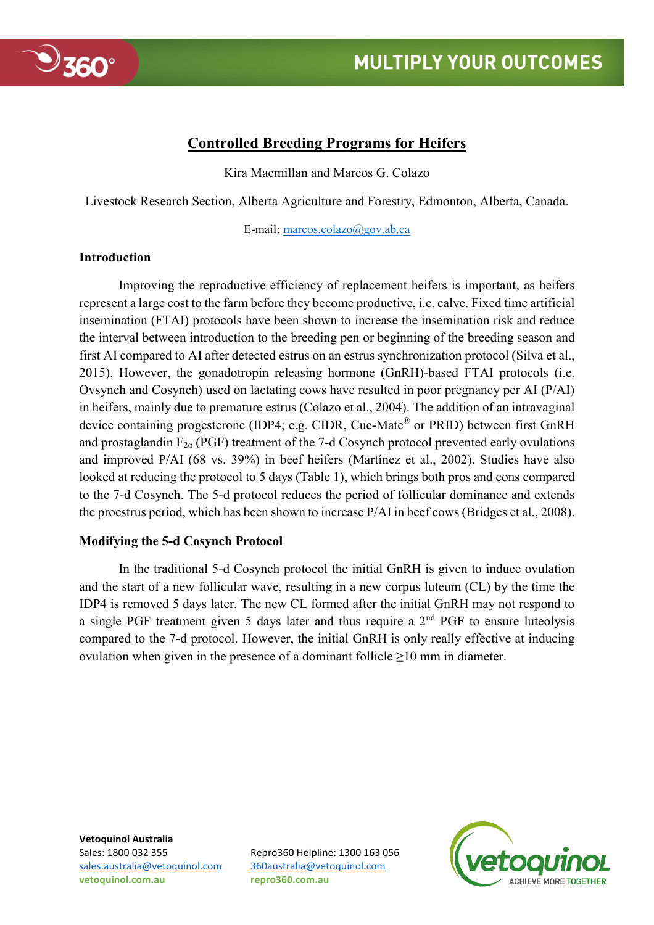

## **Controlled Breeding Programs for Heifers**

Kira Macmillan and Marcos G. Colazo

Livestock Research Section, Alberta Agriculture and Forestry, Edmonton, Alberta, Canada.

E-mail: [marcos.colazo@gov.ab.ca](mailto:marcos.colazo@gov.ab.ca)

## **Introduction**

Improving the reproductive efficiency of replacement heifers is important, as heifers represent a large cost to the farm before they become productive, i.e. calve. Fixed time artificial insemination (FTAI) protocols have been shown to increase the insemination risk and reduce the interval between introduction to the breeding pen or beginning of the breeding season and first AI compared to AI after detected estrus on an estrus synchronization protocol (Silva et al., 2015). However, the gonadotropin releasing hormone (GnRH)-based FTAI protocols (i.e. Ovsynch and Cosynch) used on lactating cows have resulted in poor pregnancy per AI (P/AI) in heifers, mainly due to premature estrus (Colazo et al., 2004). The addition of an intravaginal device containing progesterone (IDP4; e.g. CIDR, Cue-Mate® or PRID) between first GnRH and prostaglandin  $F_{2\alpha}$  (PGF) treatment of the 7-d Cosynch protocol prevented early ovulations and improved P/AI (68 vs. 39%) in beef heifers (Martínez et al., 2002). Studies have also looked at reducing the protocol to 5 days (Table 1), which brings both pros and cons compared to the 7-d Cosynch. The 5-d protocol reduces the period of follicular dominance and extends the proestrus period, which has been shown to increase P/AI in beef cows (Bridges et al., 2008).

## **Modifying the 5-d Cosynch Protocol**

In the traditional 5-d Cosynch protocol the initial GnRH is given to induce ovulation and the start of a new follicular wave, resulting in a new corpus luteum (CL) by the time the IDP4 is removed 5 days later. The new CL formed after the initial GnRH may not respond to a single PGF treatment given 5 days later and thus require a  $2<sup>nd</sup>$  PGF to ensure luteolysis compared to the 7-d protocol. However, the initial GnRH is only really effective at inducing ovulation when given in the presence of a dominant follicle  $\geq 10$  mm in diameter.

**Vetoquinol Australia** [sales.australia@vetoquinol.com](mailto:sales.australia@vetoquinol.com) [360australia@vetoquinol.com](mailto:360australia@vetoquinol.com) **vetoquinol.com.au repro360.com.au**

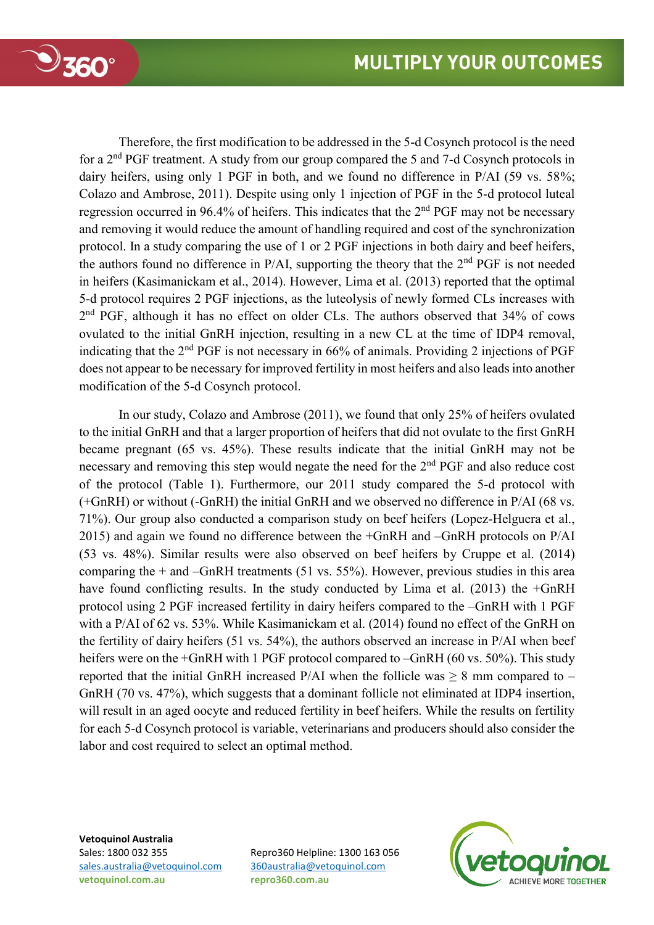

Therefore, the first modification to be addressed in the 5-d Cosynch protocol is the need for a 2nd PGF treatment. A study from our group compared the 5 and 7-d Cosynch protocols in dairy heifers, using only 1 PGF in both, and we found no difference in P/AI (59 vs. 58%; Colazo and Ambrose, 2011). Despite using only 1 injection of PGF in the 5-d protocol luteal regression occurred in 96.4% of heifers. This indicates that the 2<sup>nd</sup> PGF may not be necessary and removing it would reduce the amount of handling required and cost of the synchronization protocol. In a study comparing the use of 1 or 2 PGF injections in both dairy and beef heifers, the authors found no difference in P/AI, supporting the theory that the  $2<sup>nd</sup> PGF$  is not needed in heifers (Kasimanickam et al., 2014). However, Lima et al. (2013) reported that the optimal 5-d protocol requires 2 PGF injections, as the luteolysis of newly formed CLs increases with 2<sup>nd</sup> PGF, although it has no effect on older CLs. The authors observed that 34% of cows ovulated to the initial GnRH injection, resulting in a new CL at the time of IDP4 removal, indicating that the 2nd PGF is not necessary in 66% of animals. Providing 2 injections of PGF does not appear to be necessary for improved fertility in most heifers and also leads into another modification of the 5-d Cosynch protocol.

In our study, Colazo and Ambrose (2011), we found that only 25% of heifers ovulated to the initial GnRH and that a larger proportion of heifers that did not ovulate to the first GnRH became pregnant (65 vs. 45%). These results indicate that the initial GnRH may not be necessary and removing this step would negate the need for the 2<sup>nd</sup> PGF and also reduce cost of the protocol (Table 1). Furthermore, our 2011 study compared the 5-d protocol with (+GnRH) or without (-GnRH) the initial GnRH and we observed no difference in P/AI (68 vs. 71%). Our group also conducted a comparison study on beef heifers (Lopez-Helguera et al., 2015) and again we found no difference between the +GnRH and –GnRH protocols on P/AI (53 vs. 48%). Similar results were also observed on beef heifers by Cruppe et al. (2014) comparing the  $+$  and  $-$ GnRH treatments (51 vs. 55%). However, previous studies in this area have found conflicting results. In the study conducted by Lima et al. (2013) the +GnRH protocol using 2 PGF increased fertility in dairy heifers compared to the –GnRH with 1 PGF with a P/AI of 62 vs. 53%. While Kasimanickam et al. (2014) found no effect of the GnRH on the fertility of dairy heifers (51 vs. 54%), the authors observed an increase in P/AI when beef heifers were on the +GnRH with 1 PGF protocol compared to –GnRH (60 vs. 50%). This study reported that the initial GnRH increased P/AI when the follicle was  $\geq 8$  mm compared to – GnRH (70 vs. 47%), which suggests that a dominant follicle not eliminated at IDP4 insertion, will result in an aged oocyte and reduced fertility in beef heifers. While the results on fertility for each 5-d Cosynch protocol is variable, veterinarians and producers should also consider the labor and cost required to select an optimal method.

**Vetoquinol Australia** Sales: 1800 032 355 Repro360 Helpline: 1300 163 056 [sales.australia@vetoquinol.com](mailto:sales.australia@vetoquinol.com) [360australia@vetoquinol.com](mailto:360australia@vetoquinol.com) **vetoquinol.com.au repro360.com.au**

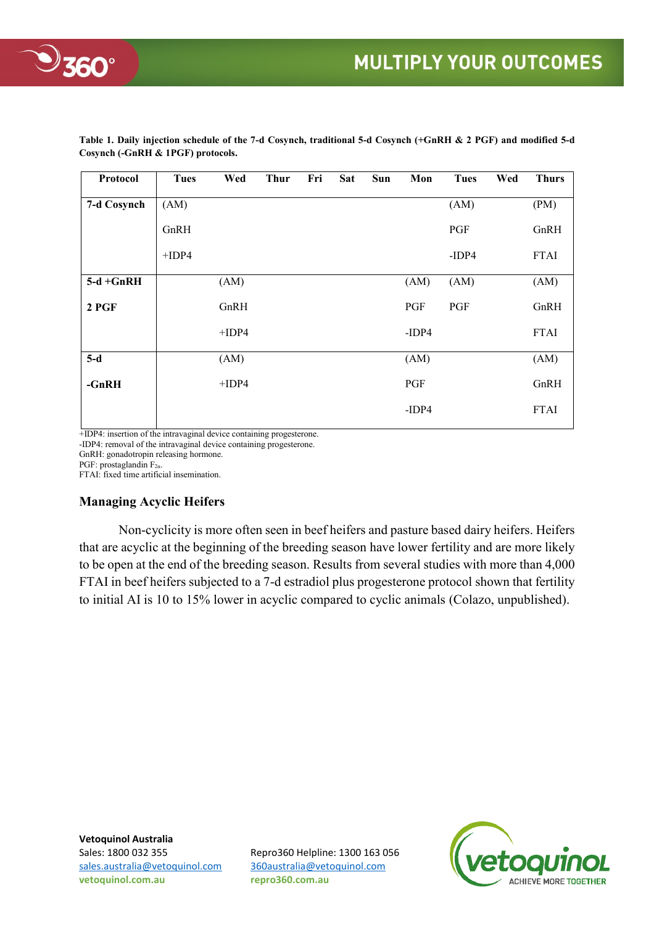

| Protocol     | <b>Tues</b> | Wed     | <b>Thur</b> | Fri | <b>Sat</b> | <b>Sun</b> | Mon     | <b>Tues</b> | Wed | <b>Thurs</b> |
|--------------|-------------|---------|-------------|-----|------------|------------|---------|-------------|-----|--------------|
| 7-d Cosynch  | (AM)        |         |             |     |            |            |         | (AM)        |     | (PM)         |
|              | GnRH        |         |             |     |            |            |         | PGF         |     | GnRH         |
|              | $+IDP4$     |         |             |     |            |            |         | $-IDP4$     |     | <b>FTAI</b>  |
| $5-d + GnRH$ |             | (AM)    |             |     |            |            | (AM)    | (AM)        |     | (AM)         |
| $2$ PGF      |             | GnRH    |             |     |            |            | PGF     | PGF         |     | GnRH         |
|              |             | $+IDP4$ |             |     |            |            | $-IDP4$ |             |     | <b>FTAI</b>  |
| $5-d$        |             | (AM)    |             |     |            |            | (AM)    |             |     | (AM)         |
| $-GnRH$      |             | $+IDP4$ |             |     |            |            | PGF     |             |     | GnRH         |
|              |             |         |             |     |            |            | $-IDP4$ |             |     | <b>FTAI</b>  |
|              |             |         |             |     |            |            |         |             |     |              |

**Table 1. Daily injection schedule of the 7-d Cosynch, traditional 5-d Cosynch (+GnRH & 2 PGF) and modified 5-d Cosynch (-GnRH & 1PGF) protocols.** 

+IDP4: insertion of the intravaginal device containing progesterone.

-IDP4: removal of the intravaginal device containing progesterone.

GnRH: gonadotropin releasing hormone.

PGF: prostaglandin  $F_{2\alpha}$ .

FTAI: fixed time artificial insemination.

## **Managing Acyclic Heifers**

Non-cyclicity is more often seen in beef heifers and pasture based dairy heifers. Heifers that are acyclic at the beginning of the breeding season have lower fertility and are more likely to be open at the end of the breeding season. Results from several studies with more than 4,000 FTAI in beef heifers subjected to a 7-d estradiol plus progesterone protocol shown that fertility to initial AI is 10 to 15% lower in acyclic compared to cyclic animals (Colazo, unpublished).

**Vetoquinol Australia** [sales.australia@vetoquinol.com](mailto:sales.australia@vetoquinol.com) [360australia@vetoquinol.com](mailto:360australia@vetoquinol.com) **vetoquinol.com.au repro360.com.au**

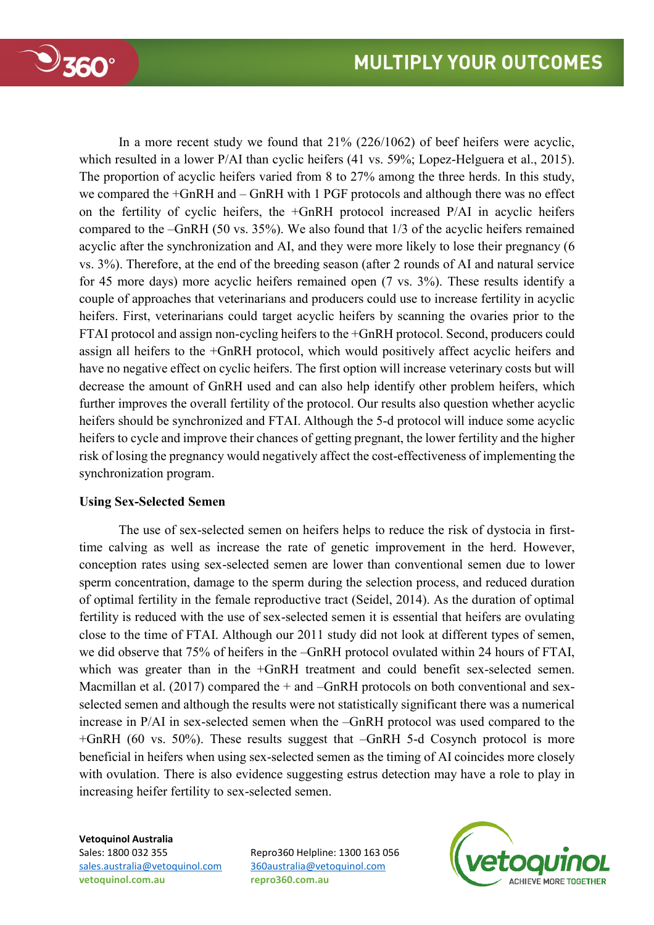

In a more recent study we found that 21% (226/1062) of beef heifers were acyclic, which resulted in a lower P/AI than cyclic heifers (41 vs. 59%; Lopez-Helguera et al., 2015). The proportion of acyclic heifers varied from 8 to 27% among the three herds. In this study, we compared the +GnRH and – GnRH with 1 PGF protocols and although there was no effect on the fertility of cyclic heifers, the +GnRH protocol increased P/AI in acyclic heifers compared to the –GnRH (50 vs. 35%). We also found that 1/3 of the acyclic heifers remained acyclic after the synchronization and AI, and they were more likely to lose their pregnancy (6 vs. 3%). Therefore, at the end of the breeding season (after 2 rounds of AI and natural service for 45 more days) more acyclic heifers remained open (7 vs. 3%). These results identify a couple of approaches that veterinarians and producers could use to increase fertility in acyclic heifers. First, veterinarians could target acyclic heifers by scanning the ovaries prior to the FTAI protocol and assign non-cycling heifers to the +GnRH protocol. Second, producers could assign all heifers to the +GnRH protocol, which would positively affect acyclic heifers and have no negative effect on cyclic heifers. The first option will increase veterinary costs but will decrease the amount of GnRH used and can also help identify other problem heifers, which further improves the overall fertility of the protocol. Our results also question whether acyclic heifers should be synchronized and FTAI. Although the 5-d protocol will induce some acyclic heifers to cycle and improve their chances of getting pregnant, the lower fertility and the higher risk of losing the pregnancy would negatively affect the cost-effectiveness of implementing the synchronization program.

## **Using Sex-Selected Semen**

The use of sex-selected semen on heifers helps to reduce the risk of dystocia in firsttime calving as well as increase the rate of genetic improvement in the herd. However, conception rates using sex-selected semen are lower than conventional semen due to lower sperm concentration, damage to the sperm during the selection process, and reduced duration of optimal fertility in the female reproductive tract (Seidel, 2014). As the duration of optimal fertility is reduced with the use of sex-selected semen it is essential that heifers are ovulating close to the time of FTAI. Although our 2011 study did not look at different types of semen, we did observe that 75% of heifers in the –GnRH protocol ovulated within 24 hours of FTAI, which was greater than in the +GnRH treatment and could benefit sex-selected semen. Macmillan et al. (2017) compared the + and –GnRH protocols on both conventional and sexselected semen and although the results were not statistically significant there was a numerical increase in P/AI in sex-selected semen when the –GnRH protocol was used compared to the +GnRH (60 vs. 50%). These results suggest that –GnRH 5-d Cosynch protocol is more beneficial in heifers when using sex-selected semen as the timing of AI coincides more closely with ovulation. There is also evidence suggesting estrus detection may have a role to play in increasing heifer fertility to sex-selected semen.

# **Vetoquinol Australia vetoquinol.com.au repro360.com.au**

Sales: 1800 032 355 Repro360 Helpline: 1300 163 056 [sales.australia@vetoquinol.com](mailto:sales.australia@vetoquinol.com) [360australia@vetoquinol.com](mailto:360australia@vetoquinol.com)

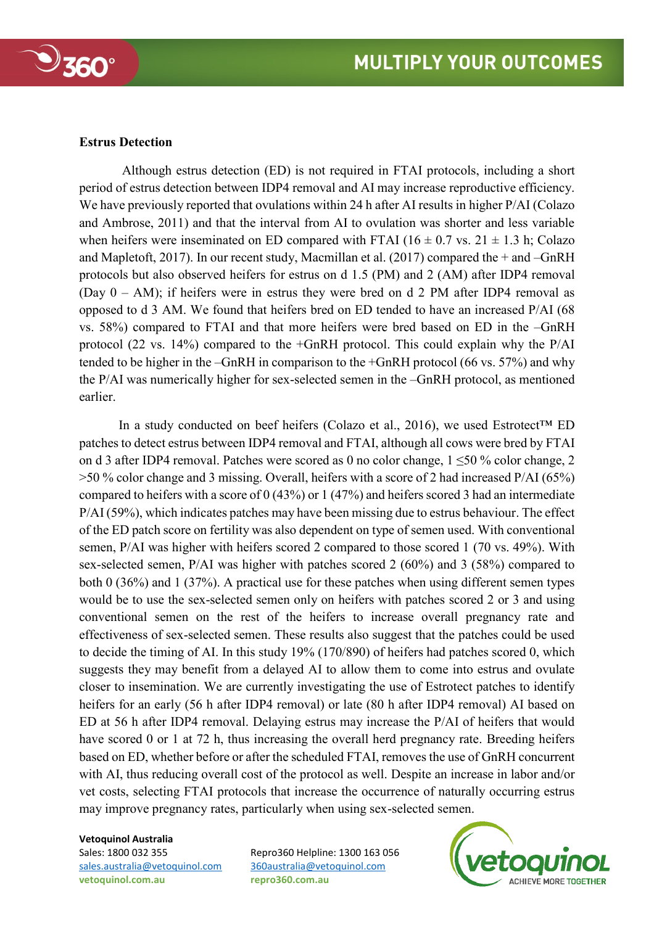

### **Estrus Detection**

Although estrus detection (ED) is not required in FTAI protocols, including a short period of estrus detection between IDP4 removal and AI may increase reproductive efficiency. We have previously reported that ovulations within 24 h after AI results in higher P/AI (Colazo and Ambrose, 2011) and that the interval from AI to ovulation was shorter and less variable when heifers were inseminated on ED compared with FTAI ( $16 \pm 0.7$  vs.  $21 \pm 1.3$  h; Colazo and Mapletoft, 2017). In our recent study, Macmillan et al. (2017) compared the + and –GnRH protocols but also observed heifers for estrus on d 1.5 (PM) and 2 (AM) after IDP4 removal (Day 0 – AM); if heifers were in estrus they were bred on d 2 PM after IDP4 removal as opposed to d 3 AM. We found that heifers bred on ED tended to have an increased P/AI (68 vs. 58%) compared to FTAI and that more heifers were bred based on ED in the –GnRH protocol (22 vs. 14%) compared to the +GnRH protocol. This could explain why the P/AI tended to be higher in the –GnRH in comparison to the +GnRH protocol (66 vs. 57%) and why the P/AI was numerically higher for sex-selected semen in the –GnRH protocol, as mentioned earlier.

In a study conducted on beef heifers (Colazo et al., 2016), we used Estrotect™ ED patches to detect estrus between IDP4 removal and FTAI, although all cows were bred by FTAI on d 3 after IDP4 removal. Patches were scored as 0 no color change, 1 ≤50 % color change, 2 >50 % color change and 3 missing. Overall, heifers with a score of 2 had increased P/AI (65%) compared to heifers with a score of 0 (43%) or 1 (47%) and heifers scored 3 had an intermediate P/AI (59%), which indicates patches may have been missing due to estrus behaviour. The effect of the ED patch score on fertility was also dependent on type of semen used. With conventional semen, P/AI was higher with heifers scored 2 compared to those scored 1 (70 vs. 49%). With sex-selected semen, P/AI was higher with patches scored 2 (60%) and 3 (58%) compared to both 0 (36%) and 1 (37%). A practical use for these patches when using different semen types would be to use the sex-selected semen only on heifers with patches scored 2 or 3 and using conventional semen on the rest of the heifers to increase overall pregnancy rate and effectiveness of sex-selected semen. These results also suggest that the patches could be used to decide the timing of AI. In this study 19% (170/890) of heifers had patches scored 0, which suggests they may benefit from a delayed AI to allow them to come into estrus and ovulate closer to insemination. We are currently investigating the use of Estrotect patches to identify heifers for an early (56 h after IDP4 removal) or late (80 h after IDP4 removal) AI based on ED at 56 h after IDP4 removal. Delaying estrus may increase the P/AI of heifers that would have scored 0 or 1 at 72 h, thus increasing the overall herd pregnancy rate. Breeding heifers based on ED, whether before or after the scheduled FTAI, removes the use of GnRH concurrent with AI, thus reducing overall cost of the protocol as well. Despite an increase in labor and/or vet costs, selecting FTAI protocols that increase the occurrence of naturally occurring estrus may improve pregnancy rates, particularly when using sex-selected semen.

#### **Vetoquinol Australia**

[sales.australia@vetoquinol.com](mailto:sales.australia@vetoquinol.com) [360australia@vetoquinol.com](mailto:360australia@vetoquinol.com) **vetoquinol.com.au repro360.com.au**

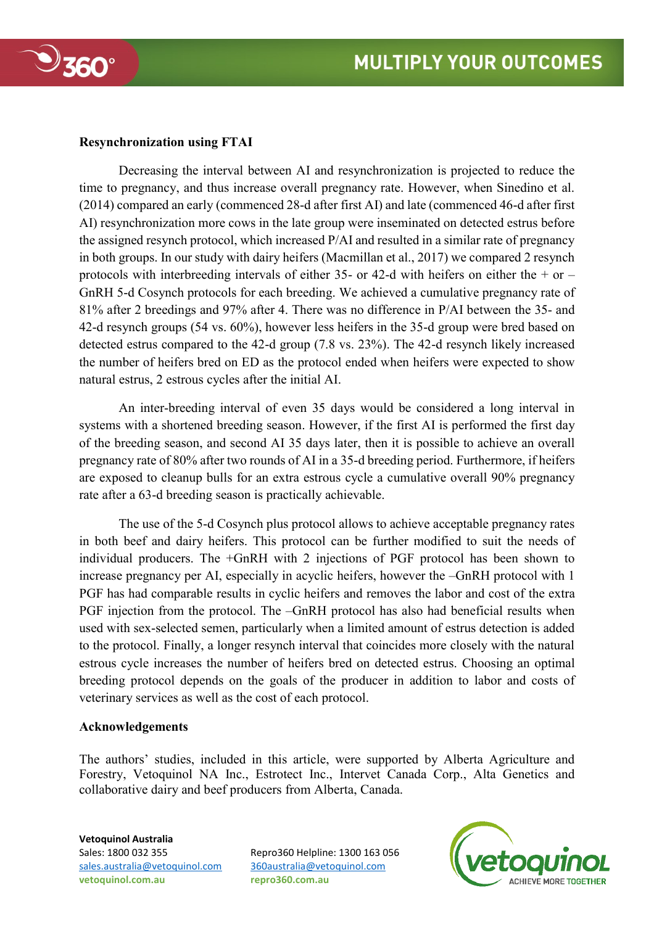

## **Resynchronization using FTAI**

Decreasing the interval between AI and resynchronization is projected to reduce the time to pregnancy, and thus increase overall pregnancy rate. However, when Sinedino et al. (2014) compared an early (commenced 28-d after first AI) and late (commenced 46-d after first AI) resynchronization more cows in the late group were inseminated on detected estrus before the assigned resynch protocol, which increased P/AI and resulted in a similar rate of pregnancy in both groups. In our study with dairy heifers (Macmillan et al., 2017) we compared 2 resynch protocols with interbreeding intervals of either 35- or 42-d with heifers on either the  $+$  or  $-$ GnRH 5-d Cosynch protocols for each breeding. We achieved a cumulative pregnancy rate of 81% after 2 breedings and 97% after 4. There was no difference in P/AI between the 35- and 42-d resynch groups (54 vs. 60%), however less heifers in the 35-d group were bred based on detected estrus compared to the 42-d group (7.8 vs. 23%). The 42-d resynch likely increased the number of heifers bred on ED as the protocol ended when heifers were expected to show natural estrus, 2 estrous cycles after the initial AI.

An inter-breeding interval of even 35 days would be considered a long interval in systems with a shortened breeding season. However, if the first AI is performed the first day of the breeding season, and second AI 35 days later, then it is possible to achieve an overall pregnancy rate of 80% after two rounds of AI in a 35-d breeding period. Furthermore, if heifers are exposed to cleanup bulls for an extra estrous cycle a cumulative overall 90% pregnancy rate after a 63-d breeding season is practically achievable.

The use of the 5-d Cosynch plus protocol allows to achieve acceptable pregnancy rates in both beef and dairy heifers. This protocol can be further modified to suit the needs of individual producers. The +GnRH with 2 injections of PGF protocol has been shown to increase pregnancy per AI, especially in acyclic heifers, however the –GnRH protocol with 1 PGF has had comparable results in cyclic heifers and removes the labor and cost of the extra PGF injection from the protocol. The –GnRH protocol has also had beneficial results when used with sex-selected semen, particularly when a limited amount of estrus detection is added to the protocol. Finally, a longer resynch interval that coincides more closely with the natural estrous cycle increases the number of heifers bred on detected estrus. Choosing an optimal breeding protocol depends on the goals of the producer in addition to labor and costs of veterinary services as well as the cost of each protocol.

## **Acknowledgements**

The authors' studies, included in this article, were supported by Alberta Agriculture and Forestry, Vetoquinol NA Inc., Estrotect Inc., Intervet Canada Corp., Alta Genetics and collaborative dairy and beef producers from Alberta, Canada.

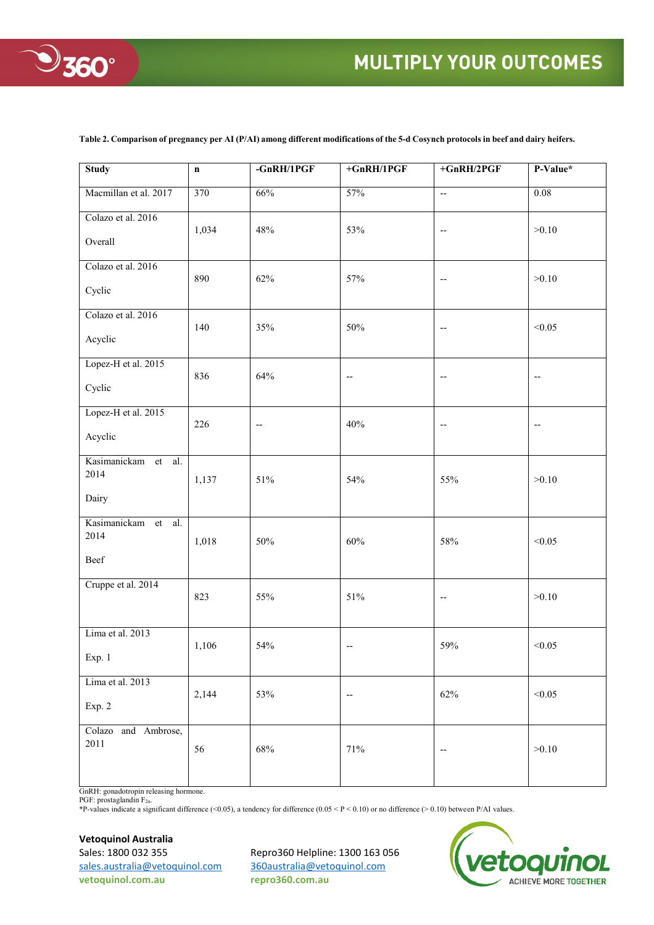

## **MULTIPLY YOUR OUTCOMES**

| <b>Study</b>                              | $\mathbf n$      | $-GnRH/1PGF$             | $+GnRH/1PGF$             | $+GnRH/2PGF$                      | P-Value*                 |
|-------------------------------------------|------------------|--------------------------|--------------------------|-----------------------------------|--------------------------|
| Macmillan et al. 2017                     | $\overline{370}$ | 66%                      | 57%                      | $\overline{\phantom{a}}$          | $\overline{0.08}$        |
| Colazo et al. 2016<br>Overall             | 1,034            | 48%                      | 53%                      | $\overline{\phantom{m}}$          | >0.10                    |
| Colazo et al. 2016<br>Cyclic              | 890              | 62%                      | 57%                      | $\hspace{0.05cm} \dashv$          | >0.10                    |
| Colazo et al. 2016<br>Acyclic             | 140              | 35%                      | $50\%$                   | $\overline{\phantom{m}}$          | < 0.05                   |
| Lopez-H et al. 2015<br>Cyclic             | 836              | 64%                      | --                       | $\hspace{0.05cm} \dashv$          | $- \, -$                 |
| Lopez-H et al. 2015<br>Acyclic            | 226              | $\overline{\phantom{a}}$ | 40%                      | $\hspace{0.05cm} \dashrightarrow$ | $\overline{\phantom{m}}$ |
| Kasimanickam et al.<br>2014<br>Dairy      | 1,137            | 51%                      | 54%                      | 55%                               | >0.10                    |
| Kasimanickam<br>et<br>al.<br>2014<br>Beef | 1,018            | $50\%$                   | $60\%$                   | 58%                               | < 0.05                   |
| Cruppe et al. 2014                        | 823              | 55%                      | $51\%$                   | $\overline{\phantom{m}}$          | >0.10                    |
| Lima et al. 2013<br>Exp. 1                | 1,106            | 54%                      | $\overline{\phantom{a}}$ | 59%                               | < 0.05                   |
| Lima et al. 2013<br>Exp. 2                | 2,144            | 53%                      | --                       | 62%                               | < 0.05                   |
| Colazo and Ambrose,<br>2011               | 56               | $68\%$                   | 71%                      | $\hspace{0.05cm} \dashv$          | >0.10                    |

**Table 2. Comparison of pregnancy per AI (P/AI) among different modifications of the 5-d Cosynch protocols in beef and dairy heifers.** 

GnRH: gonadotropin releasing hormone. PGF: prostaglandin  $F_{2\alpha}$ .

\*P-values indicate a significant difference (<0.05), a tendency for difference  $(0.05 \leq P \leq 0.10)$  or no difference (>0.10) between P/AI values.

#### **Vetoquinol Australia**

[sales.australia@vetoquinol.com](mailto:sales.australia@vetoquinol.com) [360australia@vetoquinol.com](mailto:360australia@vetoquinol.com) **vetoquinol.com.au repro360.com.au**